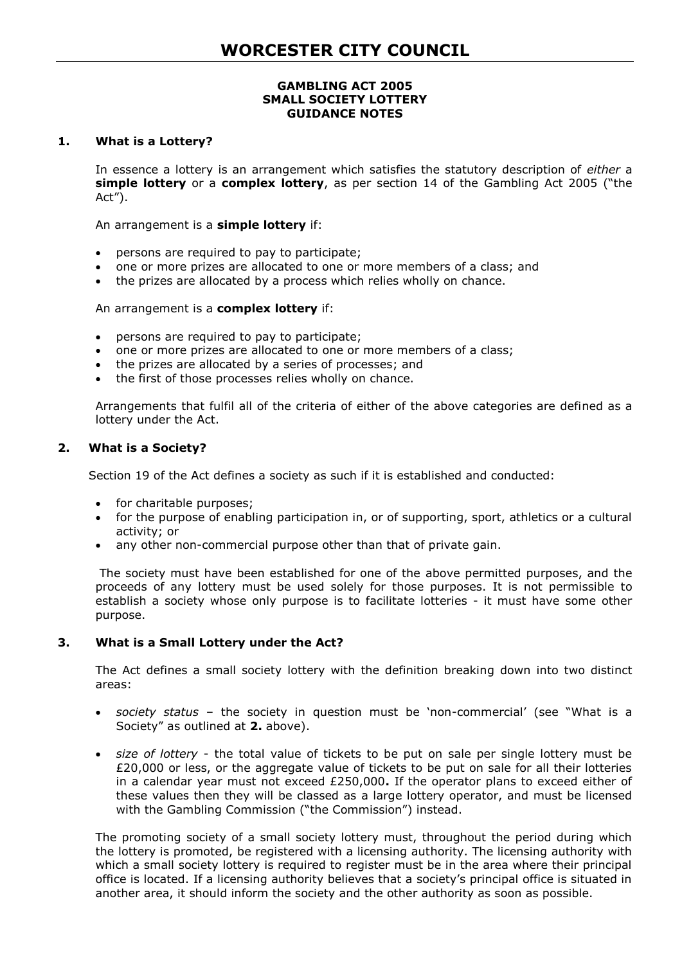#### **GAMBLING ACT 2005 SMALL SOCIETY LOTTERY GUIDANCE NOTES**

#### **1. What is a Lottery?**

In essence a lottery is an arrangement which satisfies the statutory description of *either* a **simple lottery** or a **complex lottery**, as per section 14 of the Gambling Act 2005 ("the Act").

An arrangement is a **simple lottery** if:

- persons are required to pay to participate;
- one or more prizes are allocated to one or more members of a class; and
- the prizes are allocated by a process which relies wholly on chance.

## An arrangement is a **complex lottery** if:

- persons are required to pay to participate;
- one or more prizes are allocated to one or more members of a class;
- the prizes are allocated by a series of processes; and
- the first of those processes relies wholly on chance.

Arrangements that fulfil all of the criteria of either of the above categories are defined as a lottery under the Act.

## **2. What is a Society?**

Section 19 of the Act defines a society as such if it is established and conducted:

- for charitable purposes;
- for the purpose of enabling participation in, or of supporting, sport, athletics or a cultural activity; or
- any other non-commercial purpose other than that of private gain.

The society must have been established for one of the above permitted purposes, and the proceeds of any lottery must be used solely for those purposes. It is not permissible to establish a society whose only purpose is to facilitate lotteries - it must have some other purpose.

## **3. What is a Small Lottery under the Act?**

The Act defines a small society lottery with the definition breaking down into two distinct areas:

- *society status*  the society in question must be 'non-commercial' (see "What is a Society" as outlined at **2.** above).
- *size of lottery*  the total value of tickets to be put on sale per single lottery must be £20,000 or less, or the aggregate value of tickets to be put on sale for all their lotteries in a calendar year must not exceed £250,000**.** If the operator plans to exceed either of these values then they will be classed as a large lottery operator, and must be licensed with the Gambling Commission ("the Commission") instead.

The promoting society of a small society lottery must, throughout the period during which the lottery is promoted, be registered with a licensing authority. The licensing authority with which a small society lottery is required to register must be in the area where their principal office is located. If a licensing authority believes that a society's principal office is situated in another area, it should inform the society and the other authority as soon as possible.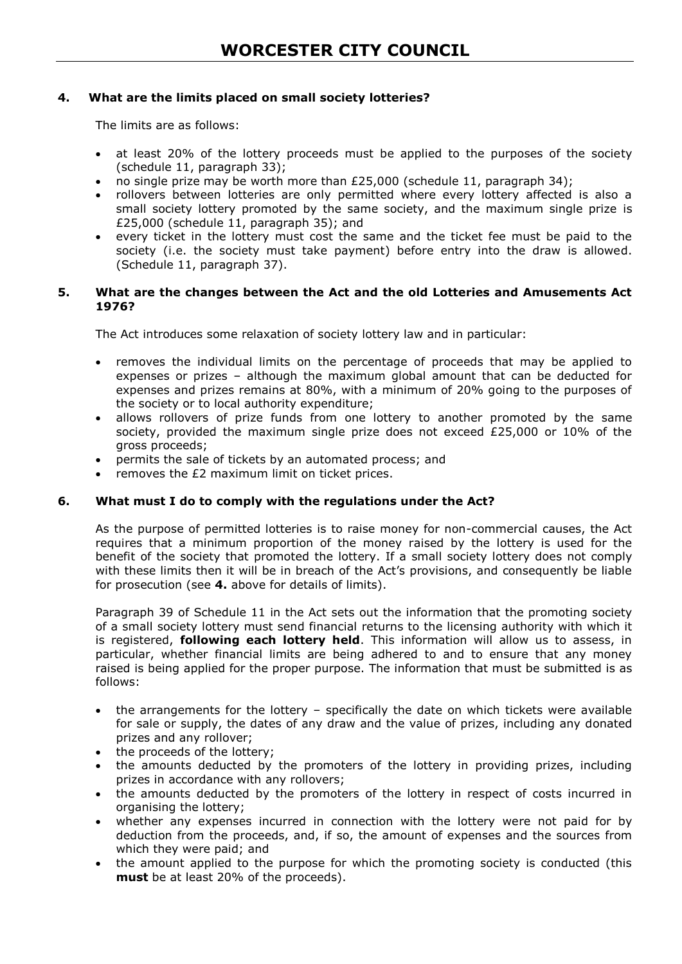## **4. What are the limits placed on small society lotteries?**

The limits are as follows:

- at least 20% of the lottery proceeds must be applied to the purposes of the society (schedule 11, paragraph 33);
- no single prize may be worth more than £25,000 (schedule 11, paragraph 34);
- rollovers between lotteries are only permitted where every lottery affected is also a small society lottery promoted by the same society, and the maximum single prize is £25,000 (schedule 11, paragraph 35); and
- every ticket in the lottery must cost the same and the ticket fee must be paid to the society (i.e. the society must take payment) before entry into the draw is allowed. (Schedule 11, paragraph 37).

#### **5. What are the changes between the Act and the old Lotteries and Amusements Act 1976?**

The Act introduces some relaxation of society lottery law and in particular:

- removes the individual limits on the percentage of proceeds that may be applied to expenses or prizes – although the maximum global amount that can be deducted for expenses and prizes remains at 80%, with a minimum of 20% going to the purposes of the society or to local authority expenditure;
- allows rollovers of prize funds from one lottery to another promoted by the same society, provided the maximum single prize does not exceed £25,000 or 10% of the gross proceeds;
- permits the sale of tickets by an automated process; and
- removes the £2 maximum limit on ticket prices.

#### **6. What must I do to comply with the regulations under the Act?**

As the purpose of permitted lotteries is to raise money for non-commercial causes, the Act requires that a minimum proportion of the money raised by the lottery is used for the benefit of the society that promoted the lottery. If a small society lottery does not comply with these limits then it will be in breach of the Act's provisions, and consequently be liable for prosecution (see **4.** above for details of limits).

Paragraph 39 of Schedule 11 in the Act sets out the information that the promoting society of a small society lottery must send financial returns to the licensing authority with which it is registered, **following each lottery held**. This information will allow us to assess, in particular, whether financial limits are being adhered to and to ensure that any money raised is being applied for the proper purpose. The information that must be submitted is as follows:

- the arrangements for the lottery specifically the date on which tickets were available for sale or supply, the dates of any draw and the value of prizes, including any donated prizes and any rollover;
- the proceeds of the lottery;
- the amounts deducted by the promoters of the lottery in providing prizes, including prizes in accordance with any rollovers;
- the amounts deducted by the promoters of the lottery in respect of costs incurred in organising the lottery;
- whether any expenses incurred in connection with the lottery were not paid for by deduction from the proceeds, and, if so, the amount of expenses and the sources from which they were paid; and
- the amount applied to the purpose for which the promoting society is conducted (this **must** be at least 20% of the proceeds).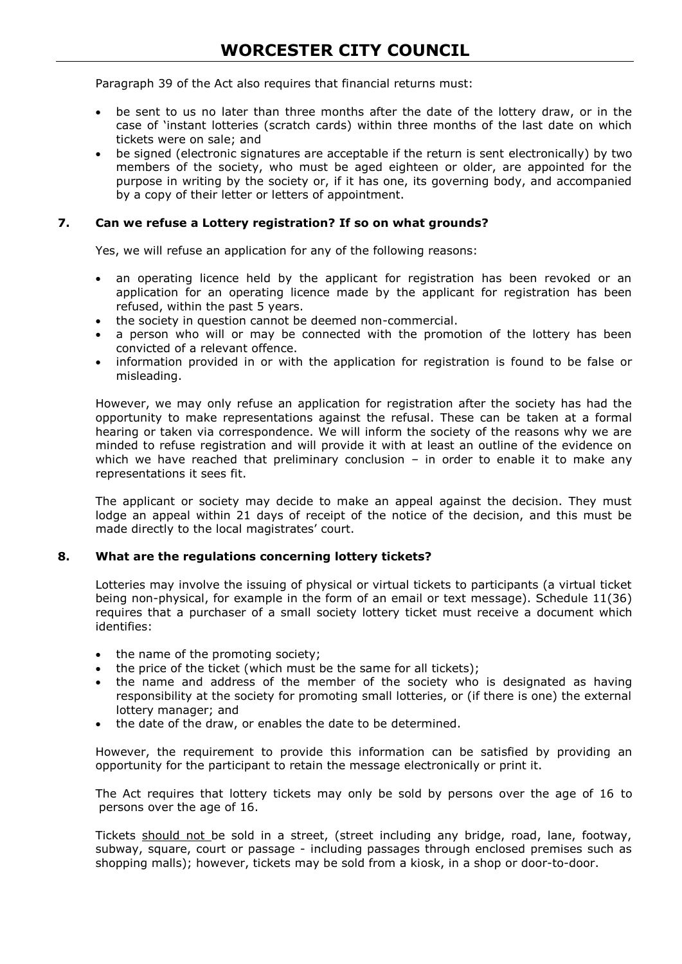Paragraph 39 of the Act also requires that financial returns must:

- be sent to us no later than three months after the date of the lottery draw, or in the case of 'instant lotteries (scratch cards) within three months of the last date on which tickets were on sale; and
- be signed (electronic signatures are acceptable if the return is sent electronically) by two members of the society, who must be aged eighteen or older, are appointed for the purpose in writing by the society or, if it has one, its governing body, and accompanied by a copy of their letter or letters of appointment.

## **7. Can we refuse a Lottery registration? If so on what grounds?**

Yes, we will refuse an application for any of the following reasons:

- an operating licence held by the applicant for registration has been revoked or an application for an operating licence made by the applicant for registration has been refused, within the past 5 years.
- the society in question cannot be deemed non-commercial.
- a person who will or may be connected with the promotion of the lottery has been convicted of a relevant offence.
- information provided in or with the application for registration is found to be false or misleading.

However, we may only refuse an application for registration after the society has had the opportunity to make representations against the refusal. These can be taken at a formal hearing or taken via correspondence. We will inform the society of the reasons why we are minded to refuse registration and will provide it with at least an outline of the evidence on which we have reached that preliminary conclusion  $-$  in order to enable it to make any representations it sees fit.

The applicant or society may decide to make an appeal against the decision. They must lodge an appeal within 21 days of receipt of the notice of the decision, and this must be made directly to the local magistrates' court.

#### **8. What are the regulations concerning lottery tickets?**

Lotteries may involve the issuing of physical or virtual tickets to participants (a virtual ticket being non-physical, for example in the form of an email or text message). Schedule 11(36) requires that a purchaser of a small society lottery ticket must receive a document which identifies:

- the name of the promoting society;
- the price of the ticket (which must be the same for all tickets);
- the name and address of the member of the society who is designated as having responsibility at the society for promoting small lotteries, or (if there is one) the external lottery manager; and
- the date of the draw, or enables the date to be determined.

However, the requirement to provide this information can be satisfied by providing an opportunity for the participant to retain the message electronically or print it.

The Act requires that lottery tickets may only be sold by persons over the age of 16 to persons over the age of 16.

Tickets should not be sold in a street, (street including any bridge, road, lane, footway, subway, square, court or passage - including passages through enclosed premises such as shopping malls); however, tickets may be sold from a kiosk, in a shop or door-to-door.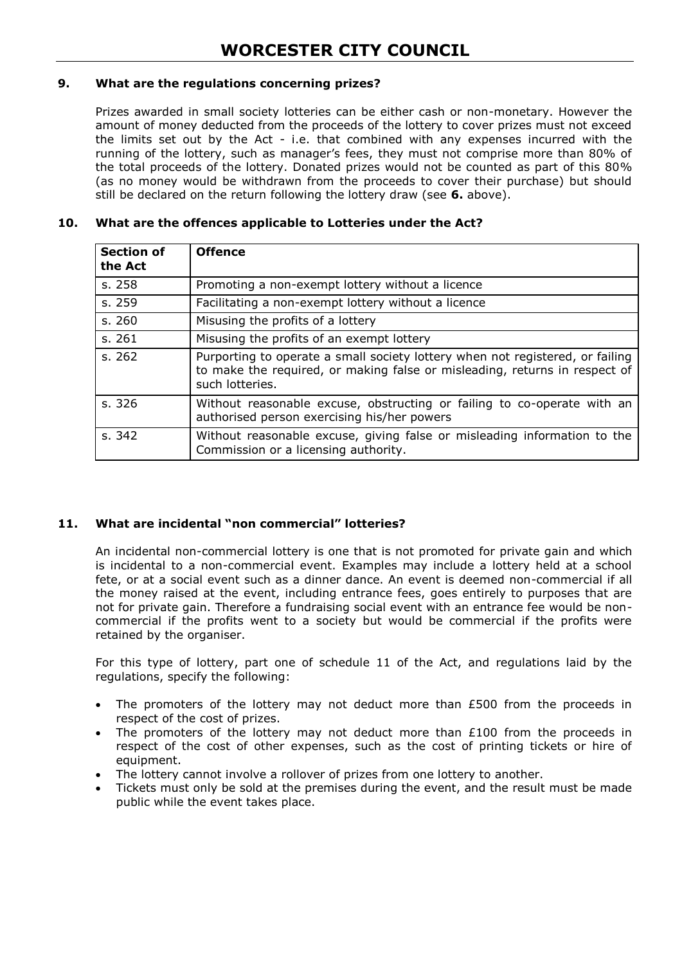## **9. What are the regulations concerning prizes?**

Prizes awarded in small society lotteries can be either cash or non-monetary. However the amount of money deducted from the proceeds of the lottery to cover prizes must not exceed the limits set out by the Act - i.e. that combined with any expenses incurred with the running of the lottery, such as manager's fees, they must not comprise more than 80% of the total proceeds of the lottery. Donated prizes would not be counted as part of this 80% (as no money would be withdrawn from the proceeds to cover their purchase) but should still be declared on the return following the lottery draw (see **6.** above).

# **Section of the Act Offence**  s. 258 Promoting a non-exempt lottery without a licence s. 259 Facilitating a non-exempt lottery without a licence s. 260 Misusing the profits of a lottery s. 261 Misusing the profits of an exempt lottery s. 262 Purporting to operate a small society lottery when not registered, or failing to make the required, or making false or misleading, returns in respect of such lotteries. s. 326 Without reasonable excuse, obstructing or failing to co-operate with an authorised person exercising his/her powers s. 342 Without reasonable excuse, giving false or misleading information to the Commission or a licensing authority.

## **10. What are the offences applicable to Lotteries under the Act?**

#### **11. What are incidental "non commercial" lotteries?**

An incidental non-commercial lottery is one that is not promoted for private gain and which is incidental to a non-commercial event. Examples may include a lottery held at a school fete, or at a social event such as a dinner dance. An event is deemed non-commercial if all the money raised at the event, including entrance fees, goes entirely to purposes that are not for private gain. Therefore a fundraising social event with an entrance fee would be noncommercial if the profits went to a society but would be commercial if the profits were retained by the organiser.

For this type of lottery, part one of schedule 11 of the Act, and regulations laid by the regulations, specify the following:

- The promoters of the lottery may not deduct more than £500 from the proceeds in respect of the cost of prizes.
- The promoters of the lottery may not deduct more than £100 from the proceeds in respect of the cost of other expenses, such as the cost of printing tickets or hire of equipment.
- The lottery cannot involve a rollover of prizes from one lottery to another.
- Tickets must only be sold at the premises during the event, and the result must be made public while the event takes place.